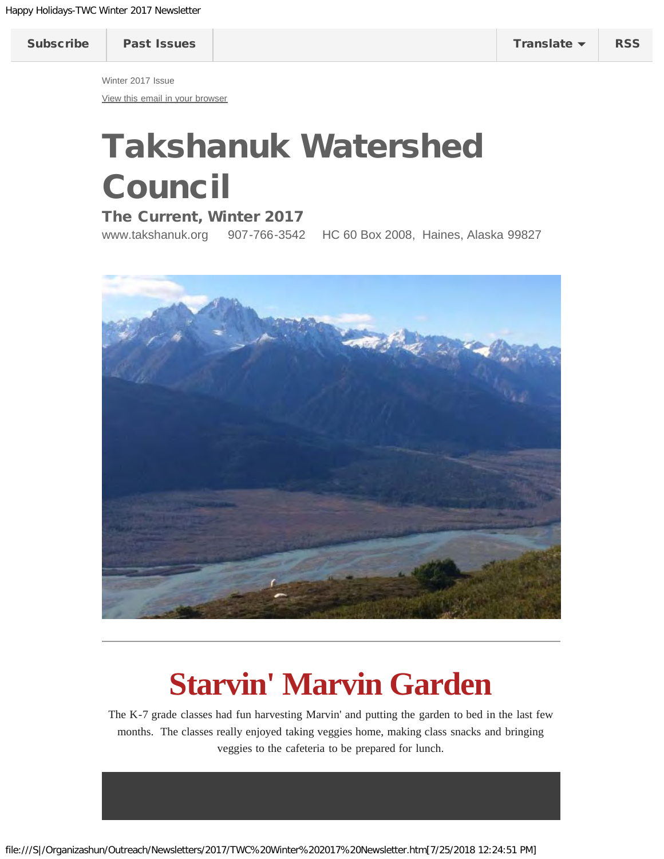Happy Holidays-TWC Winter 2017 Newsletter

| <b>Past Issues</b><br>Translate $\blacktriangledown$<br><b>Subscribe</b> |  |  |  |  |  | <b>RSS</b> |
|--------------------------------------------------------------------------|--|--|--|--|--|------------|
|--------------------------------------------------------------------------|--|--|--|--|--|------------|

Winter 2017 Issue

[View this email in your browser](https://mailchi.mp/ae6526e23a96/happy-holidays-twc-winter-2017-newsletter?e=[UNIQID])

# Takshanuk Watershed Council

The Current, Winter 2017

www.takshanuk.org 907-766-3542 HC 60 Box 2008, Haines, Alaska 99827



## **Starvin' Marvin Garden**

The K-7 grade classes had fun harvesting Marvin' and putting the garden to bed in the last few months. The classes really enjoyed taking veggies home, making class snacks and bringing veggies to the cafeteria to be prepared for lunch.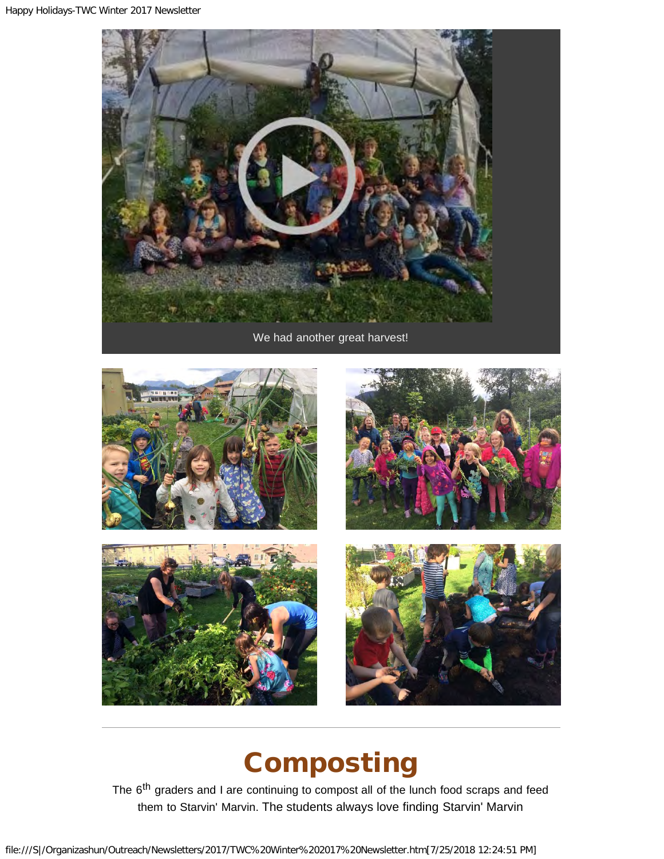



## **Composting**

The 6<sup>th</sup> graders and I are continuing to compost all of the lunch food scraps and feed them to Starvin' Marvin. The students always love finding Starvin' Marvin

file:///S|/Organizashun/Outreach/Newsletters/2017/TWC%20Winter%202017%20Newsletter.htm[7/25/2018 12:24:51 PM]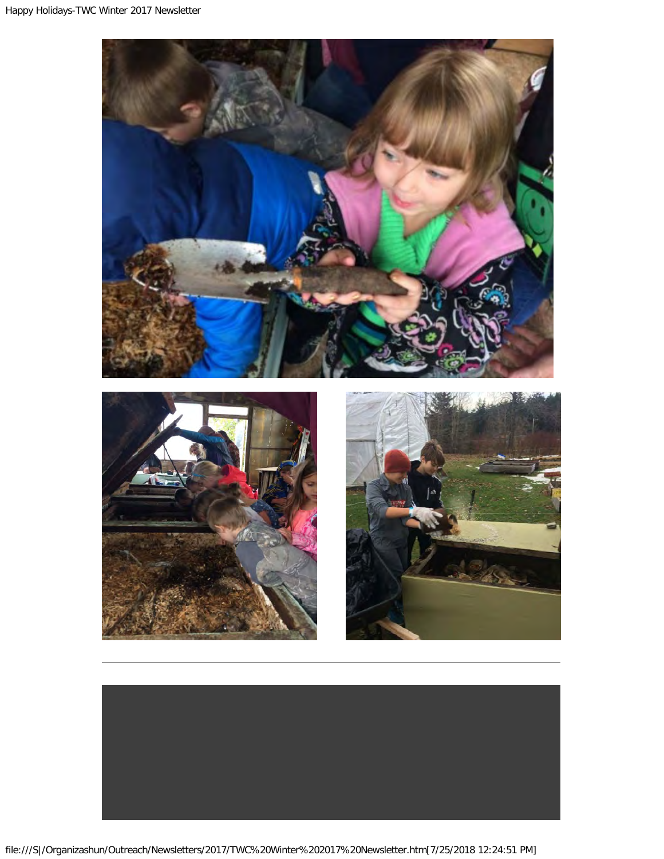

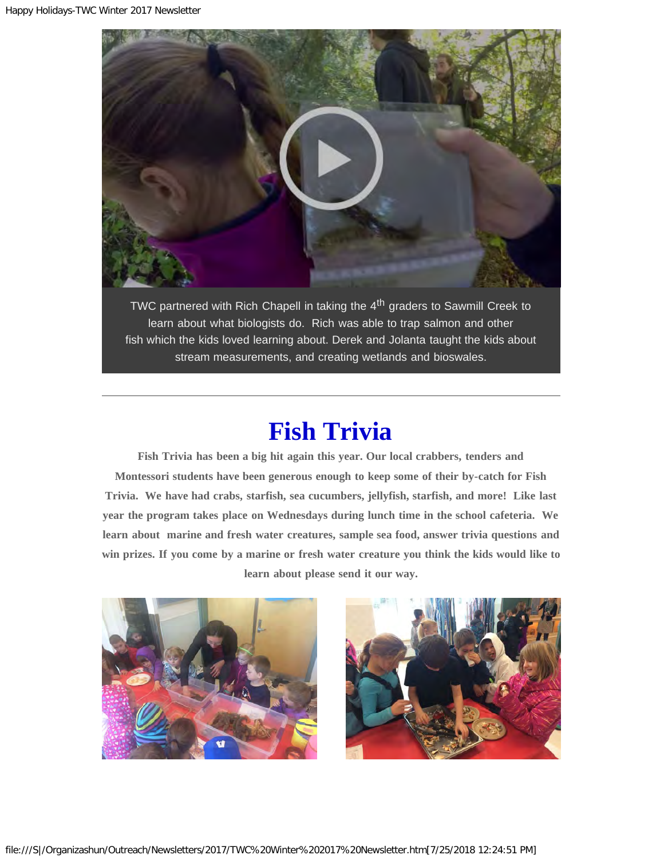

TWC partnered with Rich Chapell in taking the 4<sup>th</sup> graders to Sawmill Creek to learn about what biologists do. Rich was able to trap salmon and other fish which the kids loved learning about. Derek and Jolanta taught the kids about stream measurements, and creating wetlands and bioswales.

## **Fish Trivia**

**Fish Trivia has been a big hit again this year. Our local crabbers, tenders and Montessori students have been generous enough to keep some of their by-catch for Fish Trivia. We have had crabs, starfish, sea cucumbers, jellyfish, starfish, and more! Like last year the program takes place on Wednesdays during lunch time in the school cafeteria. We learn about marine and fresh water creatures, sample sea food, answer trivia questions and win prizes. If you come by a marine or fresh water creature you think the kids would like to learn about please send it our way.**

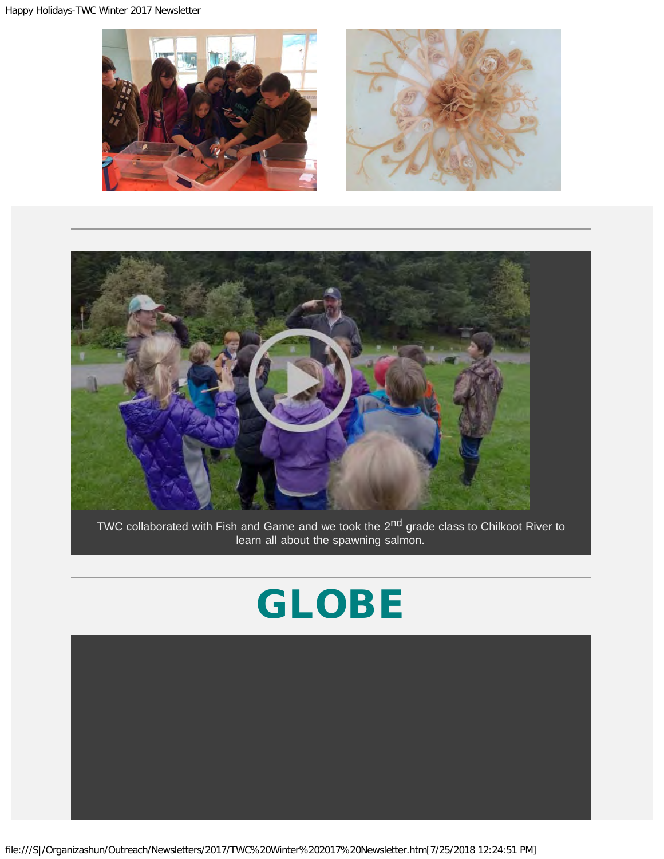



TWC collaborated with Fish and Game and we took the 2<sup>nd</sup> grade class to Chilkoot River to learn all about the spawning salmon.

# GLOBE



file:///S|/Organizashun/Outreach/Newsletters/2017/TWC%20Winter%202017%20Newsletter.htm[7/25/2018 12:24:51 PM]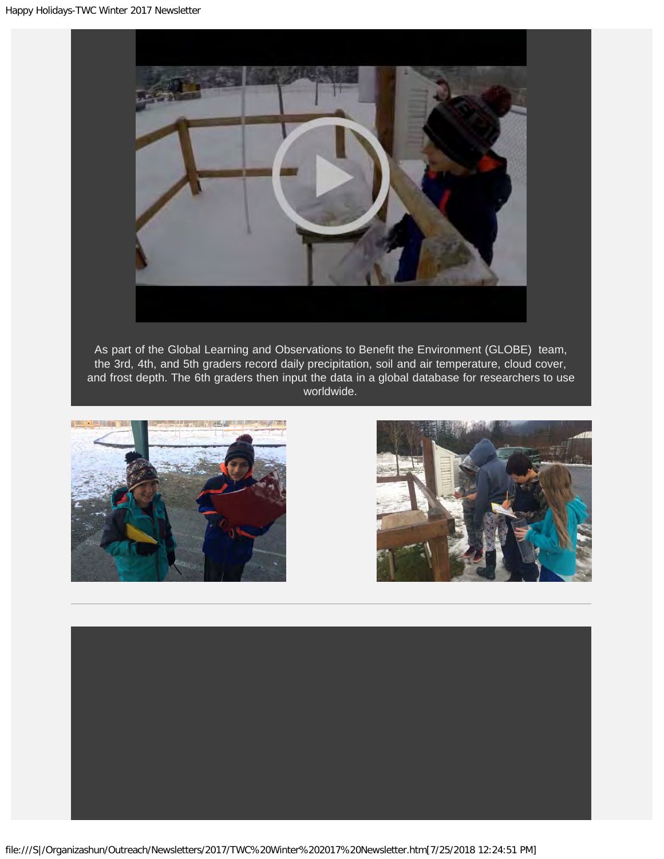

As part of the Global Learning and Observations to Benefit the Environment (GLOBE) team, the 3rd, 4th, and 5th graders record daily precipitation, soil and air temperature, cloud cover, and frost depth. The 6th graders then input the data in a global database for researchers to use worldwide.





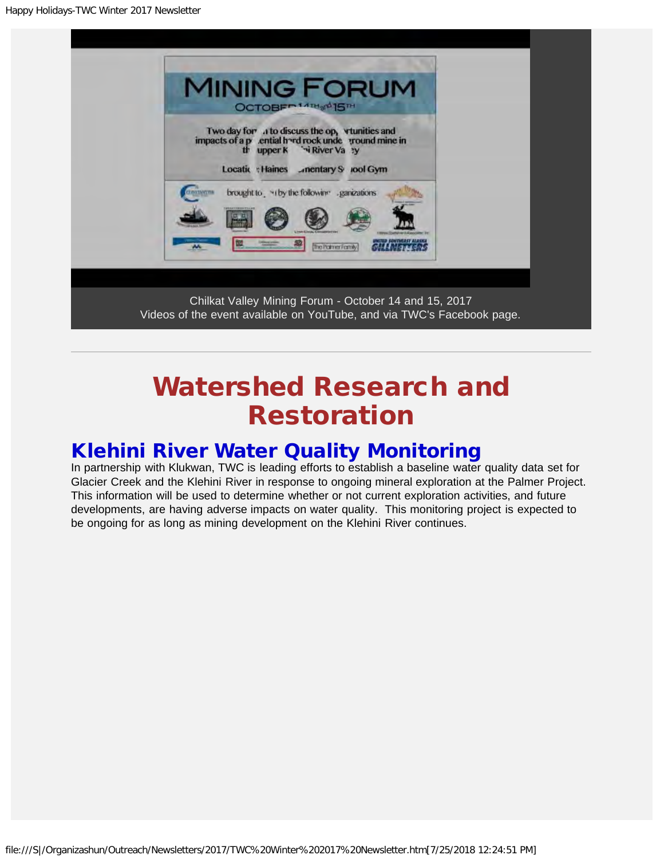

## Watershed Research and Restoration

#### Klehini River Water Quality Monitoring

In partnership with Klukwan, TWC is leading efforts to establish a baseline water quality data set for Glacier Creek and the Klehini River in response to ongoing mineral exploration at the Palmer Project. This information will be used to determine whether or not current exploration activities, and future developments, are having adverse impacts on water quality. This monitoring project is expected to be ongoing for as long as mining development on the Klehini River continues.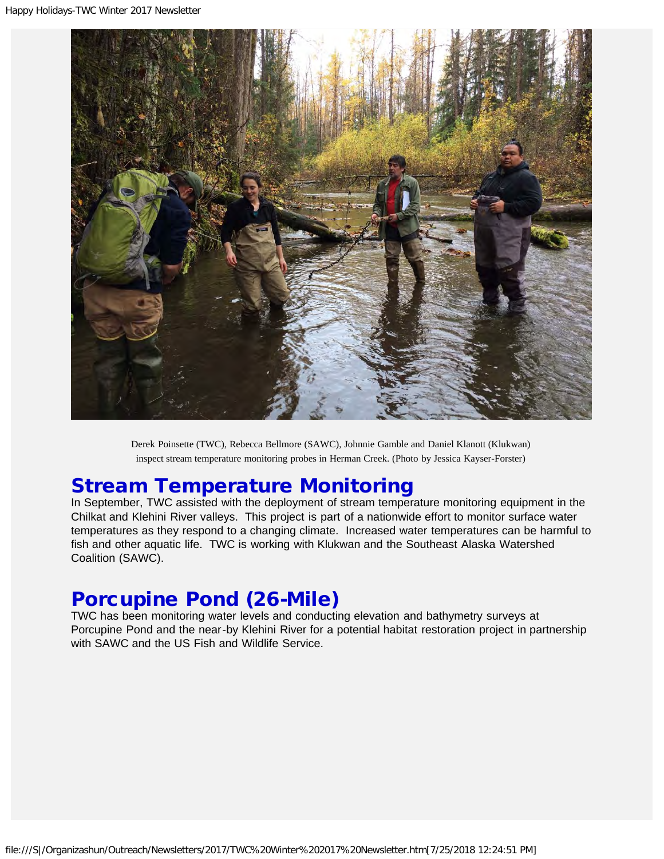

Derek Poinsette (TWC), Rebecca Bellmore (SAWC), Johnnie Gamble and Daniel Klanott (Klukwan) inspect stream temperature monitoring probes in Herman Creek. (Photo by Jessica Kayser-Forster)

#### Stream Temperature Monitoring

In September, TWC assisted with the deployment of stream temperature monitoring equipment in the Chilkat and Klehini River valleys. This project is part of a nationwide effort to monitor surface water temperatures as they respond to a changing climate. Increased water temperatures can be harmful to fish and other aquatic life. TWC is working with Klukwan and the Southeast Alaska Watershed Coalition (SAWC).

#### Porcupine Pond (26-Mile)

TWC has been monitoring water levels and conducting elevation and bathymetry surveys at Porcupine Pond and the near-by Klehini River for a potential habitat restoration project in partnership with SAWC and the US Fish and Wildlife Service.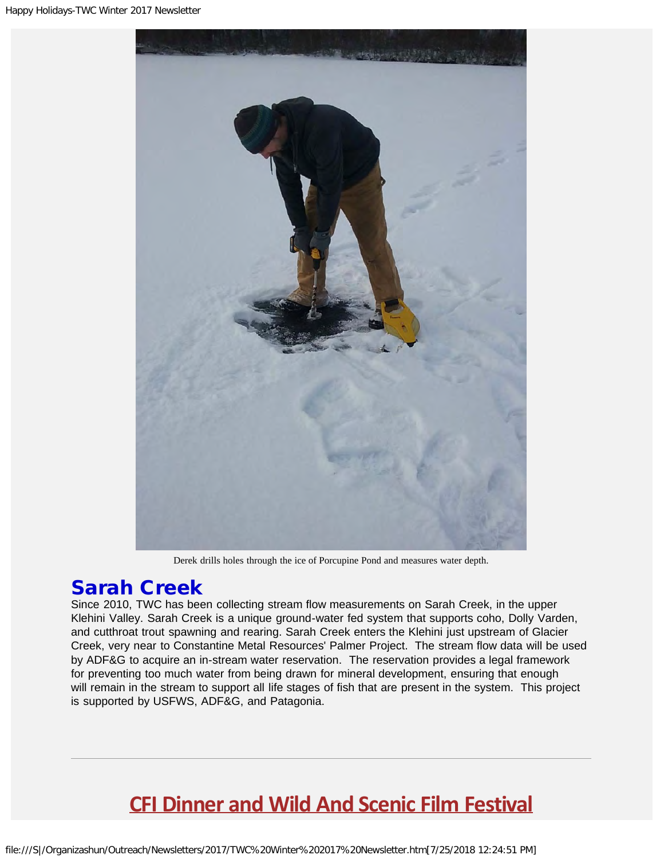

Derek drills holes through the ice of Porcupine Pond and measures water depth.

#### Sarah Creek

Since 2010, TWC has been collecting stream flow measurements on Sarah Creek, in the upper Klehini Valley. Sarah Creek is a unique ground-water fed system that supports coho, Dolly Varden, and cutthroat trout spawning and rearing. Sarah Creek enters the Klehini just upstream of Glacier Creek, very near to Constantine Metal Resources' Palmer Project. The stream flow data will be used by ADF&G to acquire an in-stream water reservation. The reservation provides a legal framework for preventing too much water from being drawn for mineral development, ensuring that enough will remain in the stream to support all life stages of fish that are present in the system. This project is supported by USFWS, ADF&G, and Patagonia.

## **CFI Dinner and Wild And Scenic Film Festival**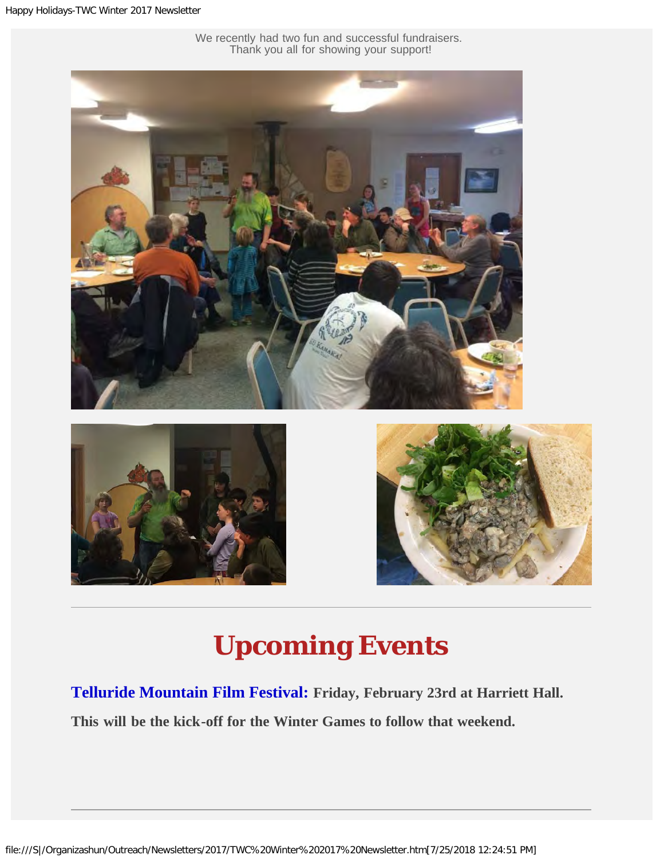We recently had two fun and successful fundraisers. Thank you all for showing your support!





## **Upcoming Events**

**Telluride Mountain Film Festival: Friday, February 23rd at Harriett Hall.** 

**This will be the kick-off for the Winter Games to follow that weekend.**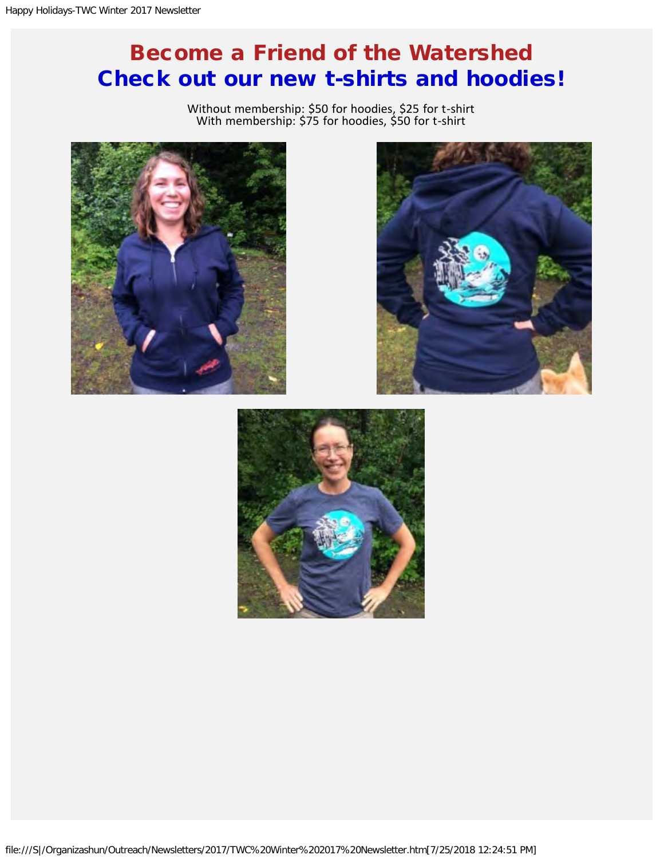### Become a Friend of the Watershed Check out our new t-shirts and hoodies!

Without membership: \$50 for hoodies, \$25 for t-shirt With membership: \$75 for hoodies, \$50 for t-shirt





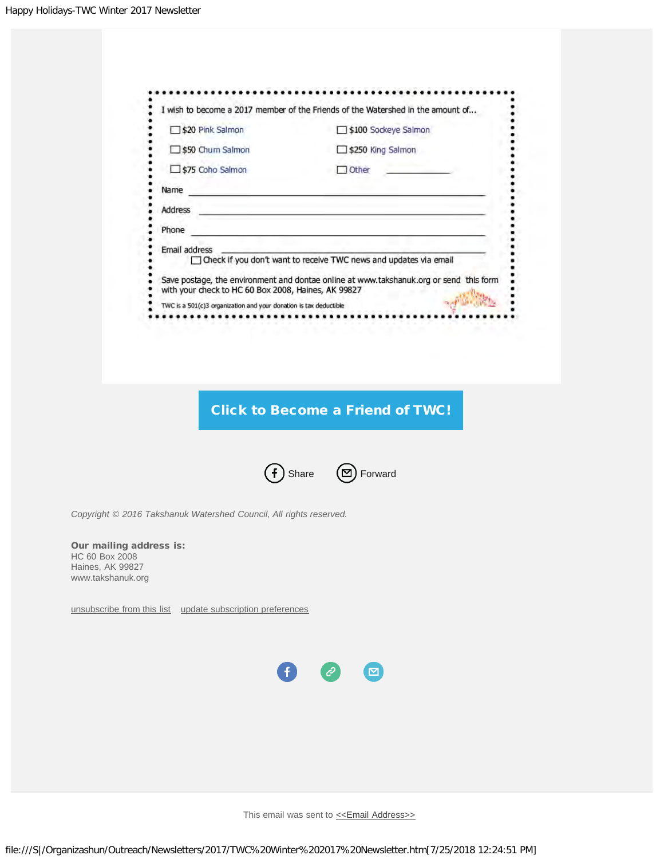|                                                                                    |                                                                    | I wish to become a 2017 member of the Friends of the Watershed in the amount of        |
|------------------------------------------------------------------------------------|--------------------------------------------------------------------|----------------------------------------------------------------------------------------|
|                                                                                    | \$20 Pink Salmon                                                   | \$100 Sockeye Salmon                                                                   |
|                                                                                    | 550 Chum Salmon                                                    | S250 King Salmon                                                                       |
|                                                                                    | 575 Coho Salmon                                                    | $\Box$ Other                                                                           |
|                                                                                    | Name                                                               |                                                                                        |
|                                                                                    | Address                                                            |                                                                                        |
|                                                                                    | Phone                                                              |                                                                                        |
|                                                                                    | Email address                                                      |                                                                                        |
|                                                                                    |                                                                    | □ Check if you don't want to receive TWC news and updates via email                    |
|                                                                                    |                                                                    | Save postage, the environment and dontae online at www.takshanuk.org or send this form |
|                                                                                    | with your check to HC 60 Box 2008, Haines, AK 99827                |                                                                                        |
|                                                                                    | TWC is a 501(c)3 organization and your donation is tax deductible  |                                                                                        |
|                                                                                    |                                                                    | <b>Click to Become a Friend of TWC!</b>                                                |
|                                                                                    |                                                                    |                                                                                        |
|                                                                                    |                                                                    | Share<br>Forward                                                                       |
|                                                                                    | Copyright © 2016 Takshanuk Watershed Council, All rights reserved. |                                                                                        |
|                                                                                    |                                                                    |                                                                                        |
|                                                                                    | unsubscribe from this list update subscription preferences         |                                                                                        |
| Our mailing address is:<br>HC 60 Box 2008<br>Haines, AK 99827<br>www.takshanuk.org |                                                                    | $\overline{\mathbf{z}}$<br>$\mathscr{C}$                                               |

This email was sent to  $\leq$  Email Address>>